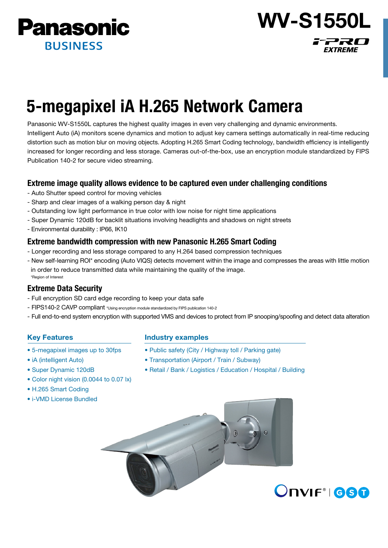

# 5-megapixel iA H.265 Network Camera

Panasonic WV-S1550L captures the highest quality images in even very challenging and dynamic environments. Intelligent Auto (iA) monitors scene dynamics and motion to adjust key camera settings automatically in real-time reducing distortion such as motion blur on moving objects. Adopting H.265 Smart Coding technology, bandwidth efficiency is intelligently increased for longer recording and less storage. Cameras out-of-the-box, use an encryption module standardized by FIPS Publication 140-2 for secure video streaming.

# Extreme image quality allows evidence to be captured even under challenging conditions

- Auto Shutter speed control for moving vehicles
- Sharp and clear images of a walking person day & night
- Outstanding low light performance in true color with low noise for night time applications
- Super Dynamic 120dB for backlit situations involving headlights and shadows on night streets
- Environmental durability : IP66, IK10

# Extreme bandwidth compression with new Panasonic H.265 Smart Coding

- Longer recording and less storage compared to any H.264 based compression techniques
- New self-learning ROI\* encoding (Auto VIQS) detects movement within the image and compresses the areas with little motion in order to reduce transmitted data while maintaining the quality of the image. \*Region of Interest

# Extreme Data Security

- Full encryption SD card edge recording to keep your data safe
- FIPS140-2 CAVP compliant \*Using encryption module standardized by FIPS publication 140-2
- Full end-to-end system encryption with supported VMS and devices to protect from IP snooping/spoofing and detect data alteration

# Key Features

- 5-megapixel images up to 30fps
- iA (intelligent Auto)
- Super Dynamic 120dB
- Color night vision (0.0044 to 0.07 lx)
- H.265 Smart Coding
- i-VMD License Bundled

## Industry examples

- Public safety (City / Highway toll / Parking gate)
- Transportation (Airport / Train / Subway)
- Retail / Bank / Logistics / Education / Hospital / Building





WV-S1550L

77RO

**EXTREME**